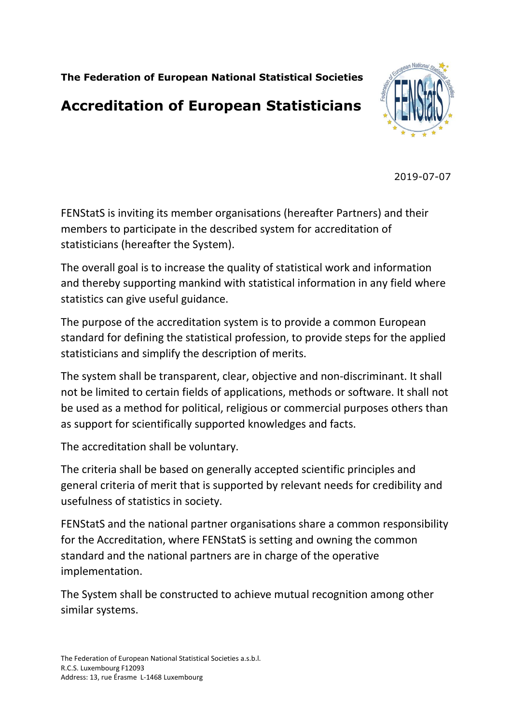**The Federation of European National Statistical Societies**

# **Accreditation of European Statisticians**



2019-07-07

FENStatS is inviting its member organisations (hereafter Partners) and their members to participate in the described system for accreditation of statisticians (hereafter the System).

The overall goal is to increase the quality of statistical work and information and thereby supporting mankind with statistical information in any field where statistics can give useful guidance.

The purpose of the accreditation system is to provide a common European standard for defining the statistical profession, to provide steps for the applied statisticians and simplify the description of merits.

The system shall be transparent, clear, objective and non-discriminant. It shall not be limited to certain fields of applications, methods or software. It shall not be used as a method for political, religious or commercial purposes others than as support for scientifically supported knowledges and facts.

The accreditation shall be voluntary.

The criteria shall be based on generally accepted scientific principles and general criteria of merit that is supported by relevant needs for credibility and usefulness of statistics in society.

FENStatS and the national partner organisations share a common responsibility for the Accreditation, where FENStatS is setting and owning the common standard and the national partners are in charge of the operative implementation.

The System shall be constructed to achieve mutual recognition among other similar systems.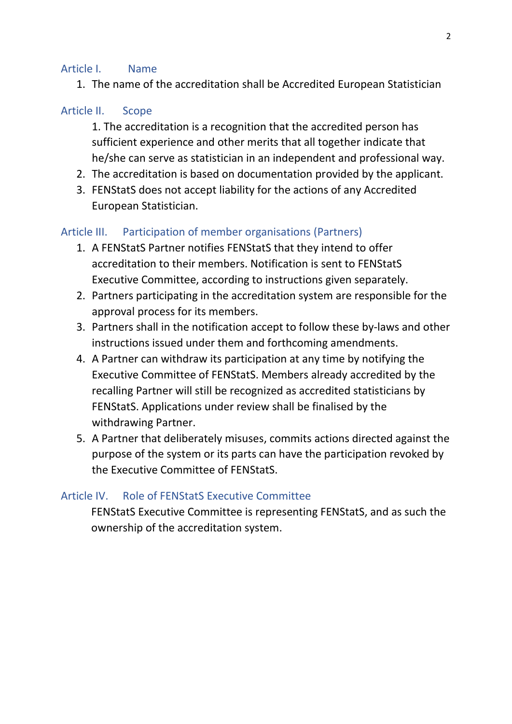#### Article I. Name

1. The name of the accreditation shall be Accredited European Statistician

## Article II. Scope

1. The accreditation is a recognition that the accredited person has sufficient experience and other merits that all together indicate that he/she can serve as statistician in an independent and professional way.

- 2. The accreditation is based on documentation provided by the applicant.
- 3. FENStatS does not accept liability for the actions of any Accredited European Statistician.

## Article III. Participation of member organisations (Partners)

- 1. A FENStatS Partner notifies FENStatS that they intend to offer accreditation to their members. Notification is sent to FENStatS Executive Committee, according to instructions given separately.
- 2. Partners participating in the accreditation system are responsible for the approval process for its members.
- 3. Partners shall in the notification accept to follow these by-laws and other instructions issued under them and forthcoming amendments.
- 4. A Partner can withdraw its participation at any time by notifying the Executive Committee of FENStatS. Members already accredited by the recalling Partner will still be recognized as accredited statisticians by FENStatS. Applications under review shall be finalised by the withdrawing Partner.
- 5. A Partner that deliberately misuses, commits actions directed against the purpose of the system or its parts can have the participation revoked by the Executive Committee of FENStatS.

# Article IV. Role of FENStatS Executive Committee

FENStatS Executive Committee is representing FENStatS, and as such the ownership of the accreditation system.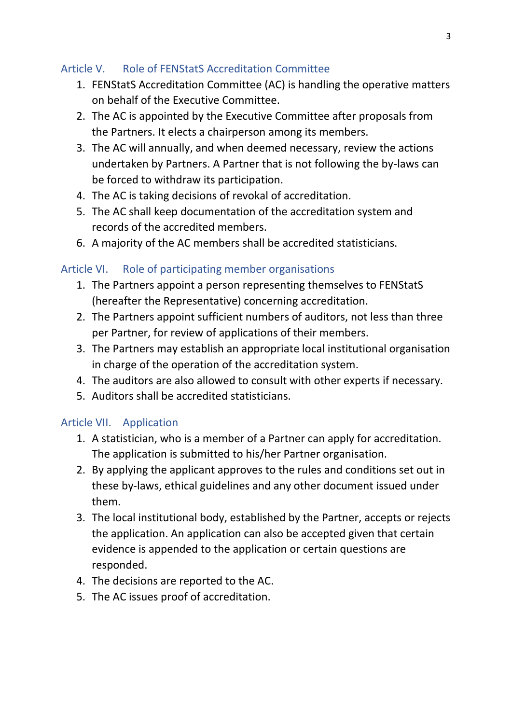# Article V. Role of FENStatS Accreditation Committee

- 1. FENStatS Accreditation Committee (AC) is handling the operative matters on behalf of the Executive Committee.
- 2. The AC is appointed by the Executive Committee after proposals from the Partners. It elects a chairperson among its members.
- 3. The AC will annually, and when deemed necessary, review the actions undertaken by Partners. A Partner that is not following the by-laws can be forced to withdraw its participation.
- 4. The AC is taking decisions of revokal of accreditation.
- 5. The AC shall keep documentation of the accreditation system and records of the accredited members.
- 6. A majority of the AC members shall be accredited statisticians.

# Article VI. Role of participating member organisations

- 1. The Partners appoint a person representing themselves to FENStatS (hereafter the Representative) concerning accreditation.
- 2. The Partners appoint sufficient numbers of auditors, not less than three per Partner, for review of applications of their members.
- 3. The Partners may establish an appropriate local institutional organisation in charge of the operation of the accreditation system.
- 4. The auditors are also allowed to consult with other experts if necessary.
- 5. Auditors shall be accredited statisticians.

# Article VII. Application

- 1. A statistician, who is a member of a Partner can apply for accreditation. The application is submitted to his/her Partner organisation.
- 2. By applying the applicant approves to the rules and conditions set out in these by-laws, ethical guidelines and any other document issued under them.
- 3. The local institutional body, established by the Partner, accepts or rejects the application. An application can also be accepted given that certain evidence is appended to the application or certain questions are responded.
- 4. The decisions are reported to the AC.
- 5. The AC issues proof of accreditation.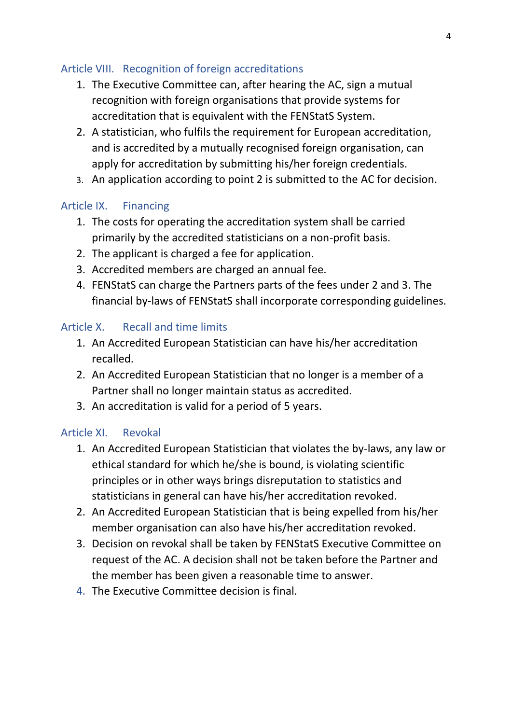## Article VIII. Recognition of foreign accreditations

- 1. The Executive Committee can, after hearing the AC, sign a mutual recognition with foreign organisations that provide systems for accreditation that is equivalent with the FENStatS System.
- 2. A statistician, who fulfils the requirement for European accreditation, and is accredited by a mutually recognised foreign organisation, can apply for accreditation by submitting his/her foreign credentials.
- 3. An application according to point 2 is submitted to the AC for decision.

#### Article IX. Financing

- 1. The costs for operating the accreditation system shall be carried primarily by the accredited statisticians on a non-profit basis.
- 2. The applicant is charged a fee for application.
- 3. Accredited members are charged an annual fee.
- 4. FENStatS can charge the Partners parts of the fees under 2 and 3. The financial by-laws of FENStatS shall incorporate corresponding guidelines.

#### Article X. Recall and time limits

- 1. An Accredited European Statistician can have his/her accreditation recalled.
- 2. An Accredited European Statistician that no longer is a member of a Partner shall no longer maintain status as accredited.
- 3. An accreditation is valid for a period of 5 years.

#### Article XI. Revokal

- 1. An Accredited European Statistician that violates the by-laws, any law or ethical standard for which he/she is bound, is violating scientific principles or in other ways brings disreputation to statistics and statisticians in general can have his/her accreditation revoked.
- 2. An Accredited European Statistician that is being expelled from his/her member organisation can also have his/her accreditation revoked.
- 3. Decision on revokal shall be taken by FENStatS Executive Committee on request of the AC. A decision shall not be taken before the Partner and the member has been given a reasonable time to answer.
- 4. The Executive Committee decision is final.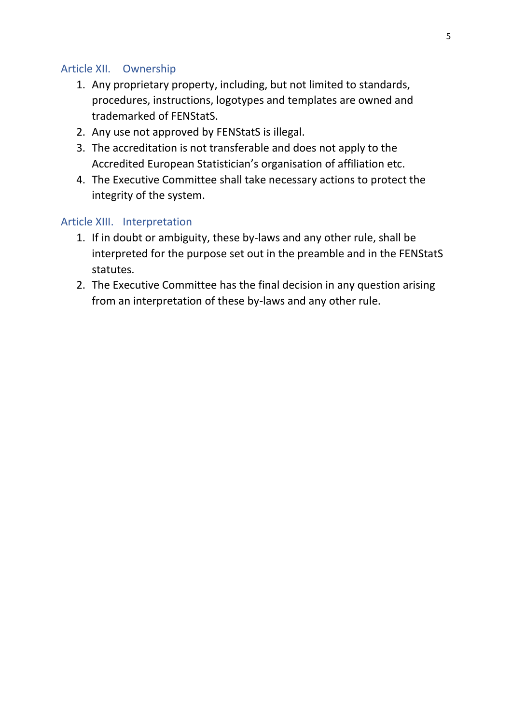#### Article XII. Ownership

- 1. Any proprietary property, including, but not limited to standards, procedures, instructions, logotypes and templates are owned and trademarked of FENStatS.
- 2. Any use not approved by FENStatS is illegal.
- 3. The accreditation is not transferable and does not apply to the Accredited European Statistician's organisation of affiliation etc.
- 4. The Executive Committee shall take necessary actions to protect the integrity of the system.

#### Article XIII. Interpretation

- 1. If in doubt or ambiguity, these by-laws and any other rule, shall be interpreted for the purpose set out in the preamble and in the FENStatS statutes.
- 2. The Executive Committee has the final decision in any question arising from an interpretation of these by-laws and any other rule.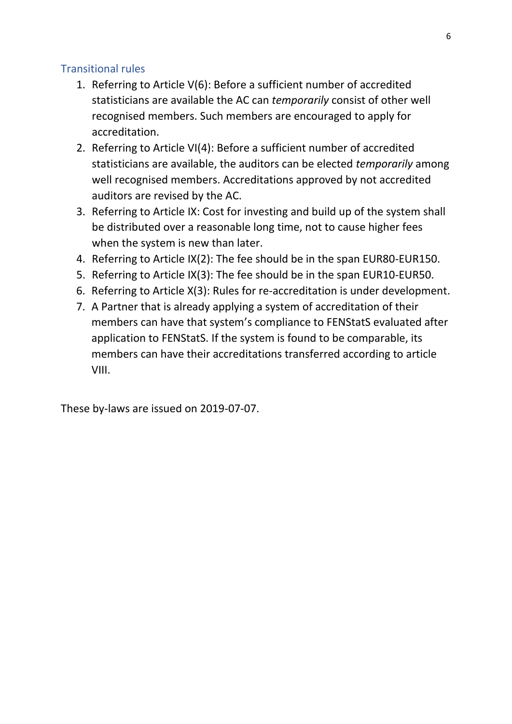## Transitional rules

- 1. Referring to Article V(6): Before a sufficient number of accredited statisticians are available the AC can *temporarily* consist of other well recognised members. Such members are encouraged to apply for accreditation.
- 2. Referring to Article VI(4): Before a sufficient number of accredited statisticians are available, the auditors can be elected *temporarily* among well recognised members. Accreditations approved by not accredited auditors are revised by the AC.
- 3. Referring to Article IX: Cost for investing and build up of the system shall be distributed over a reasonable long time, not to cause higher fees when the system is new than later.
- 4. Referring to Article IX(2): The fee should be in the span EUR80-EUR150.
- 5. Referring to Article IX(3): The fee should be in the span EUR10-EUR50.
- 6. Referring to Article X(3): Rules for re-accreditation is under development.
- 7. A Partner that is already applying a system of accreditation of their members can have that system's compliance to FENStatS evaluated after application to FENStatS. If the system is found to be comparable, its members can have their accreditations transferred according to article VIII.

These by-laws are issued on 2019-07-07.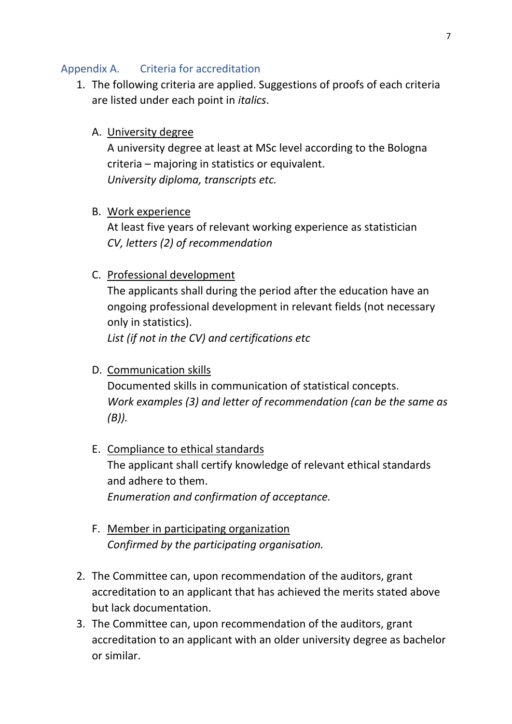#### Appendix A. Criteria for accreditation

- 1. The following criteria are applied. Suggestions of proofs of each criteria are listed under each point in *italics*.
	- A. University degree

A university degree at least at MSc level according to the Bologna criteria – majoring in statistics or equivalent. *University diploma, transcripts etc.*

B. Work experience

At least five years of relevant working experience as statistician *CV, letters (2) of recommendation*

#### C. Professional development

The applicants shall during the period after the education have an ongoing professional development in relevant fields (not necessary only in statistics).

*List (if not in the CV) and certifications etc* 

D. Communication skills

Documented skills in communication of statistical concepts. *Work examples (3) and letter of recommendation (can be the same as (B)).*

- E. Compliance to ethical standards The applicant shall certify knowledge of relevant ethical standards and adhere to them. *Enumeration and confirmation of acceptance.*
- F. Member in participating organization *Confirmed by the participating organisation.*
- 2. The Committee can, upon recommendation of the auditors, grant accreditation to an applicant that has achieved the merits stated above but lack documentation.
- 3. The Committee can, upon recommendation of the auditors, grant accreditation to an applicant with an older university degree as bachelor or similar.